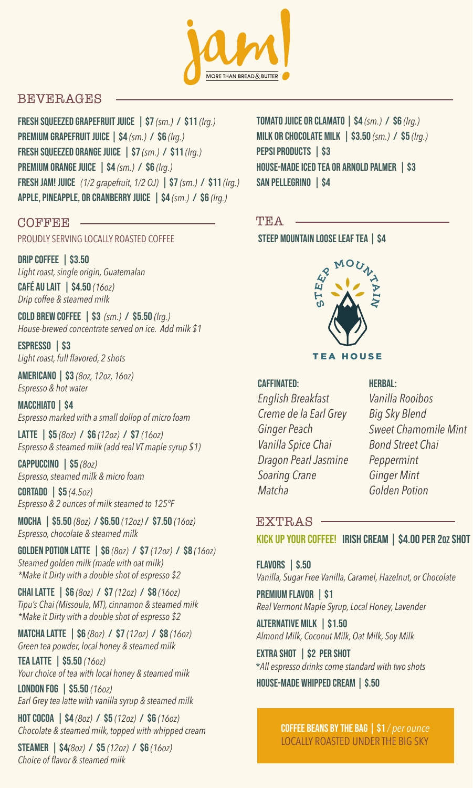

# BEVERAGES

fresh squeezed Grapefruit Juice | \$7 *(sm.)* / \$11 *(lrg.)* premium Grapefruit Juice | \$4 *(sm.)* / \$6 *(lrg.)* fresh squeezed Orange Juice | \$7 *(sm.)* / \$11 *(lrg.)* Premium Orange Juice | \$4 *(sm.)* / \$6 *(lrg.)* fresh jam! juice *(1/2 grapefruit, 1/2 OJ)* | \$7 *(sm.)* / \$11 *(lrg.)* Apple, Pineapple, or cranberry Juice | \$4 *(sm.)* / \$6 *(lrg.)*

### **COFFEE**

PROUDLY SERVING LOCALLY ROASTED COFFEE

DRIP COFFEE | \$3.50 *Light roast, single origin, Guatemalan* Café au lait | \$4.50 *(16oz) Drip coffee & steamed milk*

cold brew coffee | \$3 *(sm.)* / \$5.50 *(lrg.) House-brewed concentrate served on ice. Add milk \$1*

ESPRESSO | \$3 *Light roast, full flavored, 2 shots* 

americano | \$3 *(8oz, 12oz, 16oz) Espresso & hot water*

macchiato | \$4 *Espresso marked with a small dollop of micro foam*

latte | \$5 *(8oz)* / \$6 *(12oz)* / \$7 *(16oz) Espresso & steamed milk (add real VT maple syrup \$1)*

cappuccino | \$5 *(8oz) Espresso, steamed milk & micro foam*

cortado | \$5 *(4.5oz) Espresso & 2 ounces of milk steamed to 125°F*

mocha | \$5.50 *(8oz)* / \$6.50 *(12oz)* / \$7.50 *(16oz) Espresso, chocolate & steamed milk*

Golden potion Latte | \$6 *(8oz)* / \$7 *(12oz)* / \$8 *(16oz) Steamed golden milk (made with oat milk) \*Make it Dirty with a double shot of espresso \$2*

chai latte | \$6 *(8oz)* / \$7 *(12oz)* / \$8 *(16oz) Tipu's Chai (Missoula, MT), cinnamon & steamed milk \*Make it Dirty with a double shot of espresso \$2*

matcha latte | \$6 *(8oz)* / \$7 *(12oz)* / \$8 *(16oz) Green tea powder, local honey & steamed milk*

tea latte | \$5.50 *(16oz) Your choice of tea with local honey & steamed milk*

london fog | \$5.50 *(16oz) Earl Grey tea latte with vanilla syrup & steamed milk*

hot cocoa | \$4 *(8oz)* / \$5 *(12oz)* / \$6 *(16oz) Chocolate & steamed milk, topped with whipped cream*

Steamer | \$4*(8oz)* / \$5 *(12oz)* / \$6 *(16oz) Choice of flavor & steamed milk*

tomato Juice or clamato | \$4 *(sm.)* / \$6 *(lrg.)* Milk or chocolate milk | \$3.50 *(sm.)* / \$5 *(lrg.)* PEPSI PRODUCTS | \$3 HOUSE-MADE ICED TEA OR ARNOLD PALMER | \$3 SAN PELLEGRINO | \$4

### TEA

STEEP MOUNTAIN LOOSE LEAF TEA | \$4



#### caffinated:

*English Breakfast Creme de la Earl Grey Ginger Peach Vanilla Spice Chai Dragon Pearl Jasmine Soaring Crane Matcha*

#### **HERBAL:**

*Vanilla Rooibos Big Sky Blend Sweet Chamomile Mint Bond Street Chai Peppermint Ginger Mint Golden Potion*

# EXTRAS

kick up your coffee! irish cream | \$4.00 per 2oz shot

Flavors | \$.50 *Vanilla, Sugar Free Vanilla, Caramel, Hazelnut, or Chocolate*

PREMIUM FLAVOR | \$1 *Real Vermont Maple Syrup, Local Honey, Lavender*

alternative milk | \$1.50 *Almond Milk, Coconut Milk, Oat Milk, Soy Milk*

extra shot | \$2 per shot \**All espresso drinks come standard with two shots*

house-made whipped cream | \$.50

coffee beans by the bag | \$1 */ per ounce* LOCALLY ROASTED UNDER THE BIG SKY